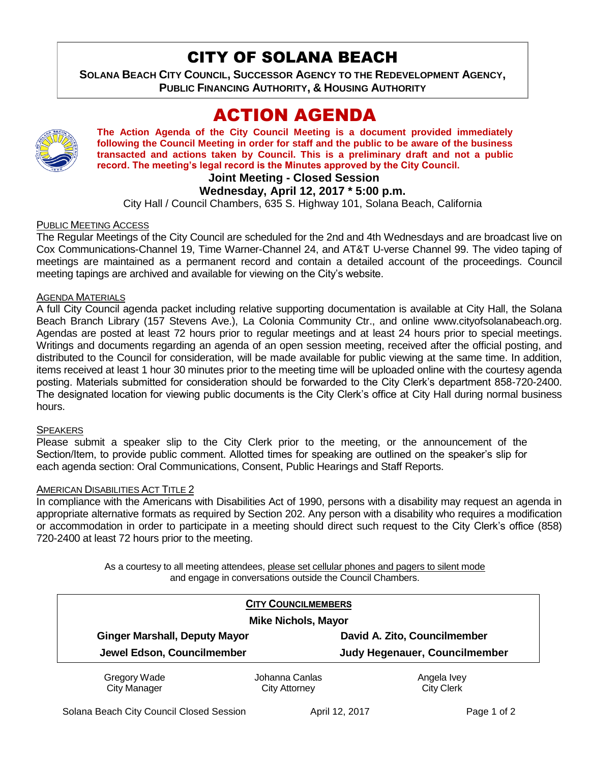# CITY OF SOLANA BEACH

**SOLANA BEACH CITY COUNCIL, SUCCESSOR AGENCY TO THE REDEVELOPMENT AGENCY, PUBLIC FINANCING AUTHORITY, & HOUSING AUTHORITY** 

# ACTION AGENDA



**The Action Agenda of the City Council Meeting is a document provided immediately following the Council Meeting in order for staff and the public to be aware of the business transacted and actions taken by Council. This is a preliminary draft and not a public record. The meeting's legal record is the Minutes approved by the City Council.**

## **Joint Meeting - Closed Session**

## **Wednesday, April 12, 2017 \* 5:00 p.m.**

City Hall / Council Chambers, 635 S. Highway 101, Solana Beach, California

## PUBLIC MEETING ACCESS

The Regular Meetings of the City Council are scheduled for the 2nd and 4th Wednesdays and are broadcast live on Cox Communications-Channel 19, Time Warner-Channel 24, and AT&T U-verse Channel 99. The video taping of meetings are maintained as a permanent record and contain a detailed account of the proceedings. Council meeting tapings are archived and available for viewing on the City's website.

### AGENDA MATERIALS

A full City Council agenda packet including relative supporting documentation is available at City Hall, the Solana Beach Branch Library (157 Stevens Ave.), La Colonia Community Ctr., and online www.cityofsolanabeach.org. Agendas are posted at least 72 hours prior to regular meetings and at least 24 hours prior to special meetings. Writings and documents regarding an agenda of an open session meeting, received after the official posting, and distributed to the Council for consideration, will be made available for public viewing at the same time. In addition, items received at least 1 hour 30 minutes prior to the meeting time will be uploaded online with the courtesy agenda posting. Materials submitted for consideration should be forwarded to the City Clerk's department 858-720-2400. The designated location for viewing public documents is the City Clerk's office at City Hall during normal business hours.

### **SPEAKERS**

Please submit a speaker slip to the City Clerk prior to the meeting, or the announcement of the Section/Item, to provide public comment. Allotted times for speaking are outlined on the speaker's slip for each agenda section: Oral Communications, Consent, Public Hearings and Staff Reports.

### AMERICAN DISABILITIES ACT TITLE 2

In compliance with the Americans with Disabilities Act of 1990, persons with a disability may request an agenda in appropriate alternative formats as required by Section 202. Any person with a disability who requires a modification or accommodation in order to participate in a meeting should direct such request to the City Clerk's office (858) 720-2400 at least 72 hours prior to the meeting.

> As a courtesy to all meeting attendees, please set cellular phones and pagers to silent mode and engage in conversations outside the Council Chambers.

|                                      | <b>CITY COUNCILMEMBERS</b> |                               |
|--------------------------------------|----------------------------|-------------------------------|
| <b>Mike Nichols, Mayor</b>           |                            |                               |
| <b>Ginger Marshall, Deputy Mayor</b> |                            | David A. Zito, Councilmember  |
| Jewel Edson, Councilmember           |                            | Judy Hegenauer, Councilmember |
| Gregory Wade                         | Johanna Canlas             | Angela Ivey                   |
| <b>City Manager</b>                  | <b>City Attorney</b>       | <b>City Clerk</b>             |